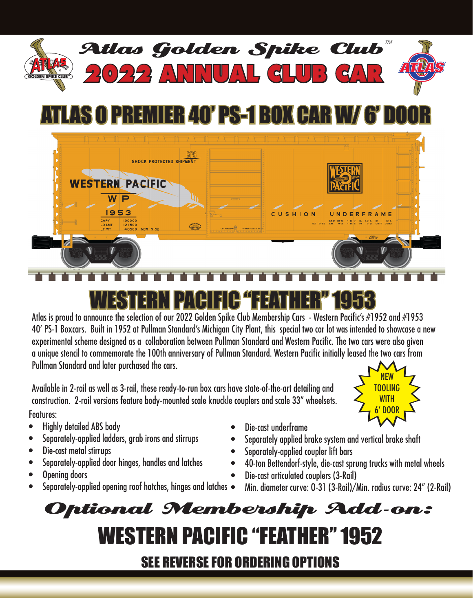

## MIER 40' PS-1 BOX CAR W/ 6' D



## WESTERN PACIFIC "FEATHER" 1953

Atlas is proud to announce the selection of our 2022 Golden Spike Club Membership Cars - Western Pacific's #1952 and #1953 40' PS-1 Boxcars. Built in 1952 at Pullman Standard's Michigan City Plant, this special two car lot was intended to showcase a new experimental scheme designed as a collaboration between Pullman Standard and Western Pacific. The two cars were also given a unique stencil to commemorate the 100th anniversary of Pullman Standard. Western Pacific initially leased the two cars from Pullman Standard and later purchased the cars.

Available in 2-rail as well as 3-rail, these ready-to-run box cars have state-of-the-art detailing and construction. 2-rail versions feature body-mounted scale knuckle couplers and scale 33" wheelsets. Features:

- **Highly detailed ABS body**
- Separately-applied ladders, grab irons and stirrups
- Die-cast metal stirrups
- Separately-applied door hinges, handles and latches
- Opening doors
- Separately-applied opening roof hatches, hinges and latches  $\bullet$
- Die-cast underframe
- Separately applied brake system and vertical brake shaft
- Separately-applied coupler lift bars
- 40-ton Bettendorf-style, die-cast sprung trucks with metal wheels
- Die-cast articulated couplers (3-Rail)
	- Min. diameter curve: 0-31 (3-Rail)/Min. radius curve: 24" (2-Rail)

NEW TOOLING WITH 6' DOOR

## WESTERN PACIFIC "FEATHER" 1952 SEE REVERSE FOR ORDERING OPTIONS Optional Membership Add-on: